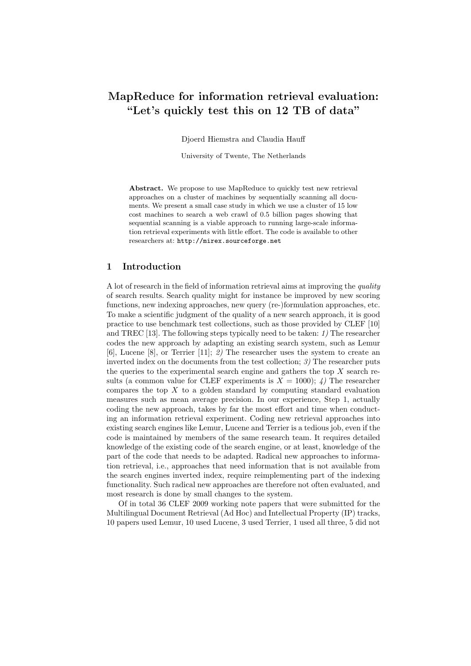# MapReduce for information retrieval evaluation: "Let's quickly test this on 12 TB of data"

Djoerd Hiemstra and Claudia Hauff

University of Twente, The Netherlands

Abstract. We propose to use MapReduce to quickly test new retrieval approaches on a cluster of machines by sequentially scanning all documents. We present a small case study in which we use a cluster of 15 low cost machines to search a web crawl of 0.5 billion pages showing that sequential scanning is a viable approach to running large-scale information retrieval experiments with little effort. The code is available to other researchers at: http://mirex.sourceforge.net

### 1 Introduction

A lot of research in the field of information retrieval aims at improving the quality of search results. Search quality might for instance be improved by new scoring functions, new indexing approaches, new query (re-)formulation approaches, etc. To make a scientific judgment of the quality of a new search approach, it is good practice to use benchmark test collections, such as those provided by CLEF [10] and TREC [13]. The following steps typically need to be taken: 1) The researcher codes the new approach by adapting an existing search system, such as Lemur [6], Lucene [8], or Terrier [11]; 2) The researcher uses the system to create an inverted index on the documents from the test collection; 3) The researcher puts the queries to the experimental search engine and gathers the top  $X$  search results (a common value for CLEF experiments is  $X = 1000$ ); 4) The researcher compares the top  $X$  to a golden standard by computing standard evaluation measures such as mean average precision. In our experience, Step 1, actually coding the new approach, takes by far the most effort and time when conducting an information retrieval experiment. Coding new retrieval approaches into existing search engines like Lemur, Lucene and Terrier is a tedious job, even if the code is maintained by members of the same research team. It requires detailed knowledge of the existing code of the search engine, or at least, knowledge of the part of the code that needs to be adapted. Radical new approaches to information retrieval, i.e., approaches that need information that is not available from the search engines inverted index, require reimplementing part of the indexing functionality. Such radical new approaches are therefore not often evaluated, and most research is done by small changes to the system.

Of in total 36 CLEF 2009 working note papers that were submitted for the Multilingual Document Retrieval (Ad Hoc) and Intellectual Property (IP) tracks, 10 papers used Lemur, 10 used Lucene, 3 used Terrier, 1 used all three, 5 did not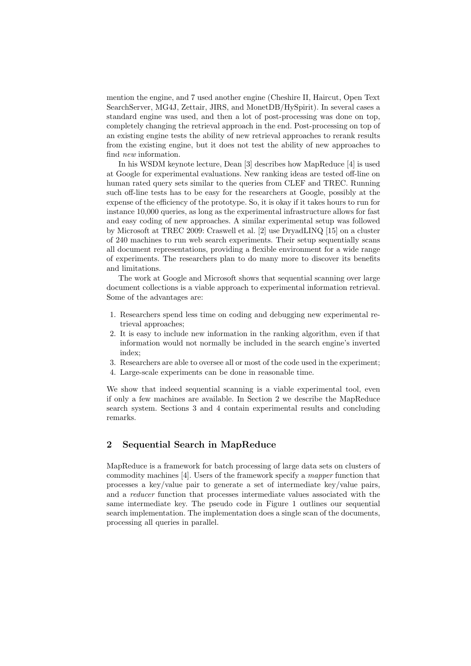mention the engine, and 7 used another engine (Cheshire II, Haircut, Open Text SearchServer, MG4J, Zettair, JIRS, and MonetDB/HySpirit). In several cases a standard engine was used, and then a lot of post-processing was done on top, completely changing the retrieval approach in the end. Post-processing on top of an existing engine tests the ability of new retrieval approaches to rerank results from the existing engine, but it does not test the ability of new approaches to find new information.

In his WSDM keynote lecture, Dean [3] describes how MapReduce [4] is used at Google for experimental evaluations. New ranking ideas are tested off-line on human rated query sets similar to the queries from CLEF and TREC. Running such off-line tests has to be easy for the researchers at Google, possibly at the expense of the efficiency of the prototype. So, it is okay if it takes hours to run for instance 10,000 queries, as long as the experimental infrastructure allows for fast and easy coding of new approaches. A similar experimental setup was followed by Microsoft at TREC 2009: Craswell et al. [2] use DryadLINQ [15] on a cluster of 240 machines to run web search experiments. Their setup sequentially scans all document representations, providing a flexible environment for a wide range of experiments. The researchers plan to do many more to discover its benefits and limitations.

The work at Google and Microsoft shows that sequential scanning over large document collections is a viable approach to experimental information retrieval. Some of the advantages are:

- 1. Researchers spend less time on coding and debugging new experimental retrieval approaches;
- 2. It is easy to include new information in the ranking algorithm, even if that information would not normally be included in the search engine's inverted index;
- 3. Researchers are able to oversee all or most of the code used in the experiment;
- 4. Large-scale experiments can be done in reasonable time.

We show that indeed sequential scanning is a viable experimental tool, even if only a few machines are available. In Section 2 we describe the MapReduce search system. Sections 3 and 4 contain experimental results and concluding remarks.

## 2 Sequential Search in MapReduce

MapReduce is a framework for batch processing of large data sets on clusters of commodity machines [4]. Users of the framework specify a mapper function that processes a key/value pair to generate a set of intermediate key/value pairs, and a reducer function that processes intermediate values associated with the same intermediate key. The pseudo code in Figure 1 outlines our sequential search implementation. The implementation does a single scan of the documents, processing all queries in parallel.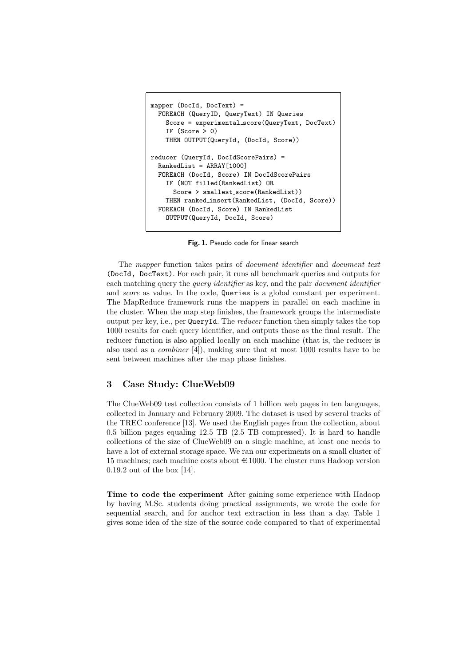```
mapper (DocId, DocText) =
 FOREACH (QueryID, QueryText) IN Queries
    Score = experimental score(QueryText, DocText)
    IF (Score > 0)
    THEN OUTPUT(QueryId, (DocId, Score))
reducer (QueryId, DocIdScorePairs) =
 RankedList = ARRAY[1000]
 FOREACH (DocId, Score) IN DocIdScorePairs
    IF (NOT filled(RankedList) OR
      Score > smallest_score(RankedList))
    THEN ranked insert(RankedList, (DocId, Score))
 FOREACH (DocId, Score) IN RankedList
    OUTPUT(QueryId, DocId, Score)
```
Fig. 1. Pseudo code for linear search

The mapper function takes pairs of document identifier and document text (DocId, DocText). For each pair, it runs all benchmark queries and outputs for each matching query the *query identifier* as key, and the pair *document identifier* and *score* as value. In the code, Queries is a global constant per experiment. The MapReduce framework runs the mappers in parallel on each machine in the cluster. When the map step finishes, the framework groups the intermediate output per key, i.e., per QueryId. The reducer function then simply takes the top 1000 results for each query identifier, and outputs those as the final result. The reducer function is also applied locally on each machine (that is, the reducer is also used as a combiner [4]), making sure that at most 1000 results have to be sent between machines after the map phase finishes.

## 3 Case Study: ClueWeb09

The ClueWeb09 test collection consists of 1 billion web pages in ten languages, collected in January and February 2009. The dataset is used by several tracks of the TREC conference [13]. We used the English pages from the collection, about 0.5 billion pages equaling 12.5 TB (2.5 TB compressed). It is hard to handle collections of the size of ClueWeb09 on a single machine, at least one needs to have a lot of external storage space. We ran our experiments on a small cluster of 15 machines; each machine costs about  $\in$  1000. The cluster runs Hadoop version 0.19.2 out of the box [14].

Time to code the experiment After gaining some experience with Hadoop by having M.Sc. students doing practical assignments, we wrote the code for sequential search, and for anchor text extraction in less than a day. Table 1 gives some idea of the size of the source code compared to that of experimental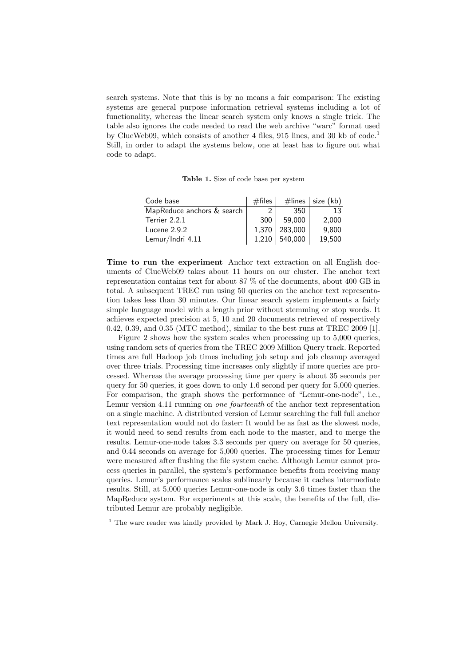search systems. Note that this is by no means a fair comparison: The existing systems are general purpose information retrieval systems including a lot of functionality, whereas the linear search system only knows a single trick. The table also ignores the code needed to read the web archive "warc" format used by ClueWeb09, which consists of another 4 files, 915 lines, and 30 kb of  $\text{code}^1$ . Still, in order to adapt the systems below, one at least has to figure out what code to adapt.

Table 1. Size of code base per system

| Code base                  | $#$ files |               | $\#$ lines   size (kb) |
|----------------------------|-----------|---------------|------------------------|
| MapReduce anchors & search | 2         | 350.          | 13                     |
| Terrier 2.2.1              | 300       | 59,000        | 2,000                  |
| Lucene $2.9.2$             |           | 1,370 283,000 | 9,800                  |
| Lemur/Indri 4.11           |           | 1,210 540,000 | 19,500                 |

Time to run the experiment Anchor text extraction on all English documents of ClueWeb09 takes about 11 hours on our cluster. The anchor text representation contains text for about 87 % of the documents, about 400 GB in total. A subsequent TREC run using 50 queries on the anchor text representation takes less than 30 minutes. Our linear search system implements a fairly simple language model with a length prior without stemming or stop words. It achieves expected precision at 5, 10 and 20 documents retrieved of respectively 0.42, 0.39, and 0.35 (MTC method), similar to the best runs at TREC 2009 [1].

Figure 2 shows how the system scales when processing up to 5,000 queries, using random sets of queries from the TREC 2009 Million Query track. Reported times are full Hadoop job times including job setup and job cleanup averaged over three trials. Processing time increases only slightly if more queries are processed. Whereas the average processing time per query is about 35 seconds per query for 50 queries, it goes down to only 1.6 second per query for 5,000 queries. For comparison, the graph shows the performance of "Lemur-one-node", i.e., Lemur version 4.11 running on *one fourteenth* of the anchor text representation on a single machine. A distributed version of Lemur searching the full full anchor text representation would not do faster: It would be as fast as the slowest node, it would need to send results from each node to the master, and to merge the results. Lemur-one-node takes 3.3 seconds per query on average for 50 queries, and 0.44 seconds on average for 5,000 queries. The processing times for Lemur were measured after flushing the file system cache. Although Lemur cannot process queries in parallel, the system's performance benefits from receiving many queries. Lemur's performance scales sublinearly because it caches intermediate results. Still, at 5,000 queries Lemur-one-node is only 3.6 times faster than the MapReduce system. For experiments at this scale, the benefits of the full, distributed Lemur are probably negligible.

<sup>&</sup>lt;sup>1</sup> The warc reader was kindly provided by Mark J. Hoy, Carnegie Mellon University.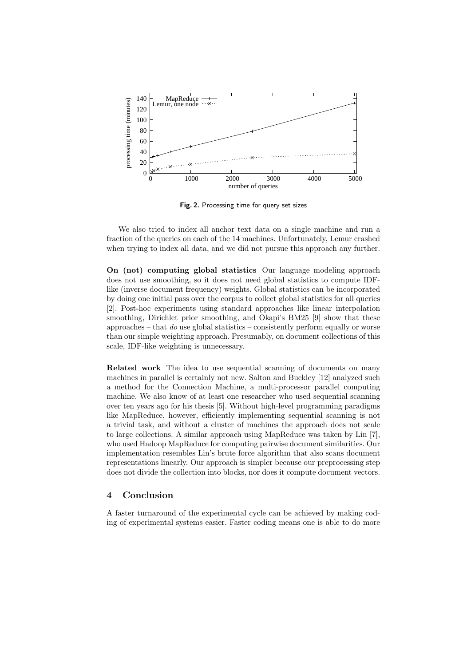

Fig. 2. Processing time for query set sizes

We also tried to index all anchor text data on a single machine and run a fraction of the queries on each of the 14 machines. Unfortunately, Lemur crashed when trying to index all data, and we did not pursue this approach any further.

On (not) computing global statistics Our language modeling approach does not use smoothing, so it does not need global statistics to compute IDFlike (inverse document frequency) weights. Global statistics can be incorporated by doing one initial pass over the corpus to collect global statistics for all queries [2]. Post-hoc experiments using standard approaches like linear interpolation smoothing, Dirichlet prior smoothing, and Okapi's BM25 [9] show that these approaches – that do use global statistics – consistently perform equally or worse than our simple weighting approach. Presumably, on document collections of this scale, IDF-like weighting is unnecessary.

Related work The idea to use sequential scanning of documents on many machines in parallel is certainly not new. Salton and Buckley [12] analyzed such a method for the Connection Machine, a multi-processor parallel computing machine. We also know of at least one researcher who used sequential scanning over ten years ago for his thesis [5]. Without high-level programming paradigms like MapReduce, however, efficiently implementing sequential scanning is not a trivial task, and without a cluster of machines the approach does not scale to large collections. A similar approach using MapReduce was taken by Lin [7], who used Hadoop MapReduce for computing pairwise document similarities. Our implementation resembles Lin's brute force algorithm that also scans document representations linearly. Our approach is simpler because our preprocessing step does not divide the collection into blocks, nor does it compute document vectors.

## 4 Conclusion

A faster turnaround of the experimental cycle can be achieved by making coding of experimental systems easier. Faster coding means one is able to do more